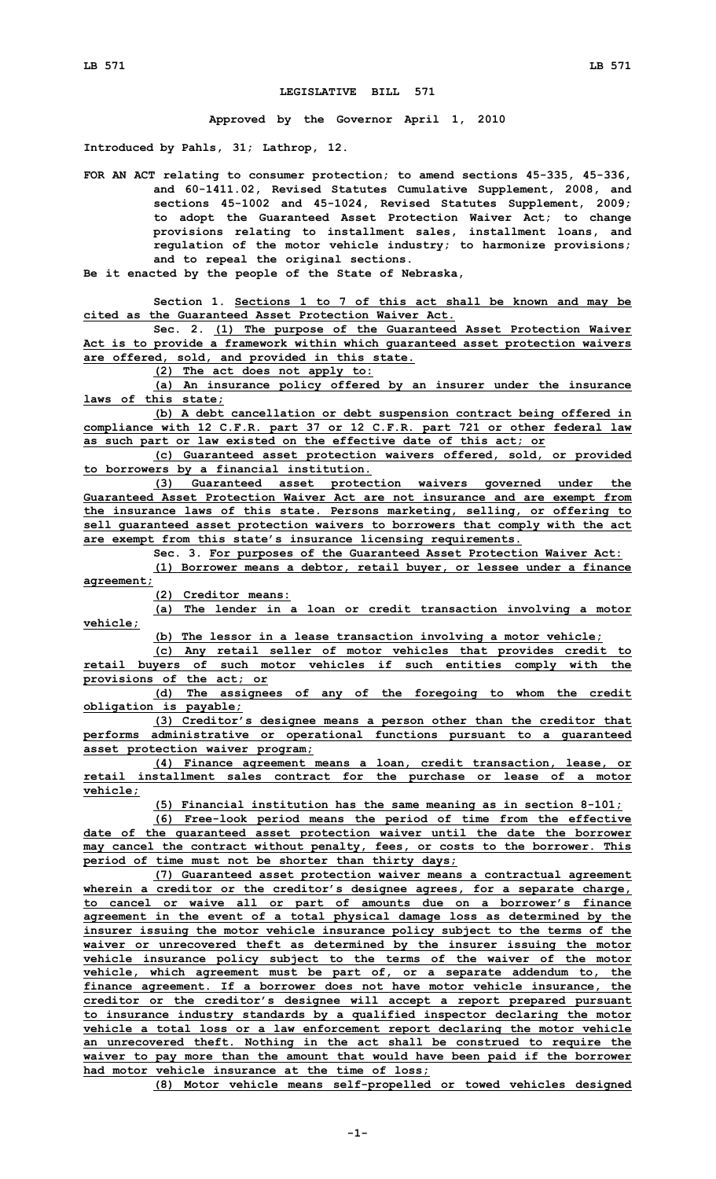## **LEGISLATIVE BILL 571**

**Approved by the Governor April 1, 2010**

**Introduced by Pahls, 31; Lathrop, 12.**

**FOR AN ACT relating to consumer protection; to amend sections 45-335, 45-336, and 60-1411.02, Revised Statutes Cumulative Supplement, 2008, and sections 45-1002 and 45-1024, Revised Statutes Supplement, 2009; to adopt the Guaranteed Asset Protection Waiver Act; to change provisions relating to installment sales, installment loans, and regulation of the motor vehicle industry; to harmonize provisions; and to repeal the original sections.**

**Be it enacted by the people of the State of Nebraska,**

**Section 1. Sections 1 to 7 of this act shall be known and may be cited as the Guaranteed Asset Protection Waiver Act.**

**Sec. 2. (1) The purpose of the Guaranteed Asset Protection Waiver Act is to provide <sup>a</sup> framework within which guaranteed asset protection waivers are offered, sold, and provided in this state.**

**(2) The act does not apply to:**

**(a) An insurance policy offered by an insurer under the insurance laws of this state;**

**(b) <sup>A</sup> debt cancellation or debt suspension contract being offered in compliance with 12 C.F.R. part 37 or 12 C.F.R. part 721 or other federal law as such part or law existed on the effective date of this act; or**

**(c) Guaranteed asset protection waivers offered, sold, or provided to borrowers by <sup>a</sup> financial institution.**

**(3) Guaranteed asset protection waivers governed under the Guaranteed Asset Protection Waiver Act are not insurance and are exempt from the insurance laws of this state. Persons marketing, selling, or offering to sell guaranteed asset protection waivers to borrowers that comply with the act are exempt from this state's insurance licensing requirements.**

**Sec. 3. For purposes of the Guaranteed Asset Protection Waiver Act:**

**(1) Borrower means <sup>a</sup> debtor, retail buyer, or lessee under <sup>a</sup> finance agreement;**

**(2) Creditor means:**

**(a) The lender in <sup>a</sup> loan or credit transaction involving <sup>a</sup> motor vehicle;**

**(b) The lessor in <sup>a</sup> lease transaction involving <sup>a</sup> motor vehicle;**

**(c) Any retail seller of motor vehicles that provides credit to retail buyers of such motor vehicles if such entities comply with the provisions of the act; or**

**(d) The assignees of any of the foregoing to whom the credit obligation is payable;**

**(3) Creditor's designee means <sup>a</sup> person other than the creditor that performs administrative or operational functions pursuant to <sup>a</sup> guaranteed asset protection waiver program;**

**(4) Finance agreement means <sup>a</sup> loan, credit transaction, lease, or retail installment sales contract for the purchase or lease of <sup>a</sup> motor vehicle;**

**(5) Financial institution has the same meaning as in section 8-101;**

**(6) Free-look period means the period of time from the effective date of the guaranteed asset protection waiver until the date the borrower may cancel the contract without penalty, fees, or costs to the borrower. This period of time must not be shorter than thirty days;**

**(7) Guaranteed asset protection waiver means <sup>a</sup> contractual agreement wherein <sup>a</sup> creditor or the creditor's designee agrees, for <sup>a</sup> separate charge, to cancel or waive all or part of amounts due on <sup>a</sup> borrower's finance agreement in the event of <sup>a</sup> total physical damage loss as determined by the insurer issuing the motor vehicle insurance policy subject to the terms of the waiver or unrecovered theft as determined by the insurer issuing the motor vehicle insurance policy subject to the terms of the waiver of the motor vehicle, which agreement must be part of, or <sup>a</sup> separate addendum to, the finance agreement. If <sup>a</sup> borrower does not have motor vehicle insurance, the creditor or the creditor's designee will accept <sup>a</sup> report prepared pursuant to insurance industry standards by <sup>a</sup> qualified inspector declaring the motor vehicle <sup>a</sup> total loss or <sup>a</sup> law enforcement report declaring the motor vehicle an unrecovered theft. Nothing in the act shall be construed to require the waiver to pay more than the amount that would have been paid if the borrower had motor vehicle insurance at the time of loss;**

**(8) Motor vehicle means self-propelled or towed vehicles designed**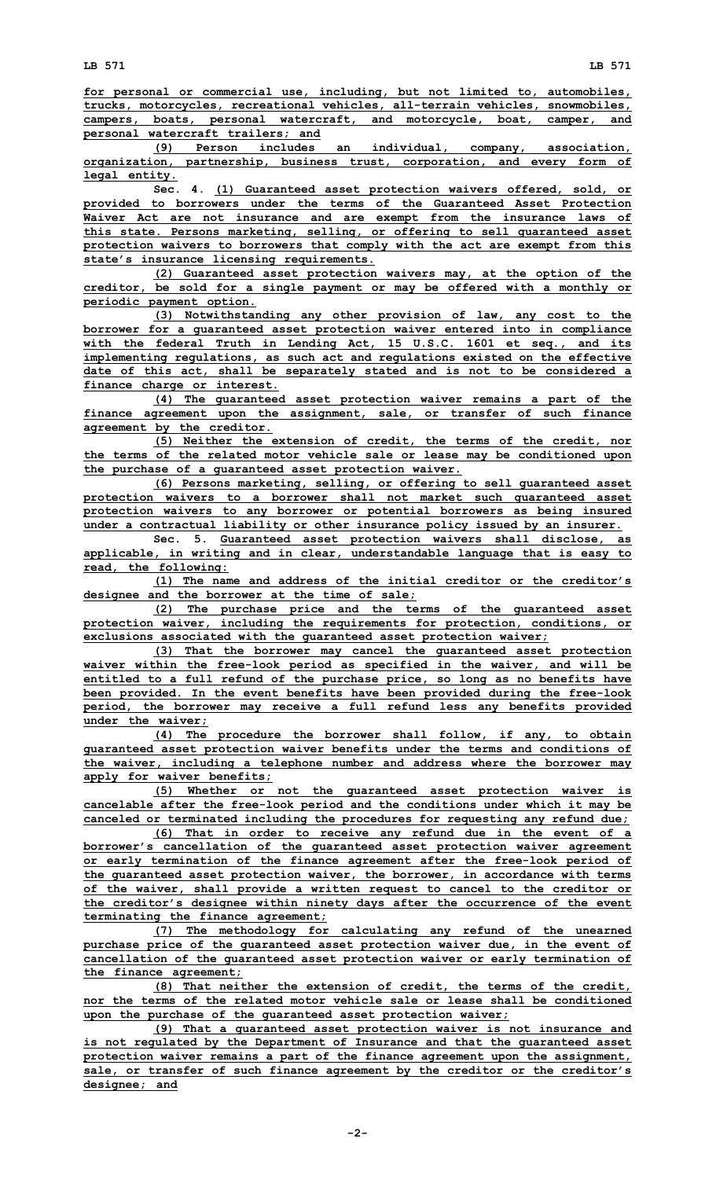**for personal or commercial use, including, but not limited to, automobiles, trucks, motorcycles, recreational vehicles, all-terrain vehicles, snowmobiles, campers, boats, personal watercraft, and motorcycle, boat, camper, and personal watercraft trailers; and**

**(9) Person includes an individual, company, association, organization, partnership, business trust, corporation, and every form of legal entity.**

**Sec. 4. (1) Guaranteed asset protection waivers offered, sold, or provided to borrowers under the terms of the Guaranteed Asset Protection Waiver Act are not insurance and are exempt from the insurance laws of this state. Persons marketing, selling, or offering to sell guaranteed asset protection waivers to borrowers that comply with the act are exempt from this state's insurance licensing requirements.**

**(2) Guaranteed asset protection waivers may, at the option of the creditor, be sold for <sup>a</sup> single payment or may be offered with <sup>a</sup> monthly or periodic payment option.**

**(3) Notwithstanding any other provision of law, any cost to the borrower for <sup>a</sup> guaranteed asset protection waiver entered into in compliance with the federal Truth in Lending Act, 15 U.S.C. 1601 et seq., and its implementing regulations, as such act and regulations existed on the effective date of this act, shall be separately stated and is not to be considered <sup>a</sup> finance charge or interest.**

**(4) The guaranteed asset protection waiver remains <sup>a</sup> part of the finance agreement upon the assignment, sale, or transfer of such finance agreement by the creditor.**

**(5) Neither the extension of credit, the terms of the credit, nor the terms of the related motor vehicle sale or lease may be conditioned upon the purchase of <sup>a</sup> guaranteed asset protection waiver.**

**(6) Persons marketing, selling, or offering to sell guaranteed asset protection waivers to <sup>a</sup> borrower shall not market such guaranteed asset protection waivers to any borrower or potential borrowers as being insured under <sup>a</sup> contractual liability or other insurance policy issued by an insurer.**

**Sec. 5. Guaranteed asset protection waivers shall disclose, as applicable, in writing and in clear, understandable language that is easy to read, the following:**

**(1) The name and address of the initial creditor or the creditor's designee and the borrower at the time of sale;**

**(2) The purchase price and the terms of the guaranteed asset protection waiver, including the requirements for protection, conditions, or exclusions associated with the guaranteed asset protection waiver;**

**(3) That the borrower may cancel the guaranteed asset protection waiver within the free-look period as specified in the waiver, and will be entitled to <sup>a</sup> full refund of the purchase price, so long as no benefits have been provided. In the event benefits have been provided during the free-look period, the borrower may receive <sup>a</sup> full refund less any benefits provided under the waiver;**

**(4) The procedure the borrower shall follow, if any, to obtain guaranteed asset protection waiver benefits under the terms and conditions of the waiver, including <sup>a</sup> telephone number and address where the borrower may apply for waiver benefits;**

**(5) Whether or not the guaranteed asset protection waiver is cancelable after the free-look period and the conditions under which it may be canceled or terminated including the procedures for requesting any refund due;**

**(6) That in order to receive any refund due in the event of <sup>a</sup> borrower's cancellation of the guaranteed asset protection waiver agreement or early termination of the finance agreement after the free-look period of the guaranteed asset protection waiver, the borrower, in accordance with terms of the waiver, shall provide <sup>a</sup> written request to cancel to the creditor or the creditor's designee within ninety days after the occurrence of the event terminating the finance agreement;**

**(7) The methodology for calculating any refund of the unearned purchase price of the guaranteed asset protection waiver due, in the event of cancellation of the guaranteed asset protection waiver or early termination of the finance agreement;**

**(8) That neither the extension of credit, the terms of the credit, nor the terms of the related motor vehicle sale or lease shall be conditioned upon the purchase of the guaranteed asset protection waiver;**

**(9) That <sup>a</sup> guaranteed asset protection waiver is not insurance and is not regulated by the Department of Insurance and that the guaranteed asset protection waiver remains <sup>a</sup> part of the finance agreement upon the assignment, sale, or transfer of such finance agreement by the creditor or the creditor's designee; and**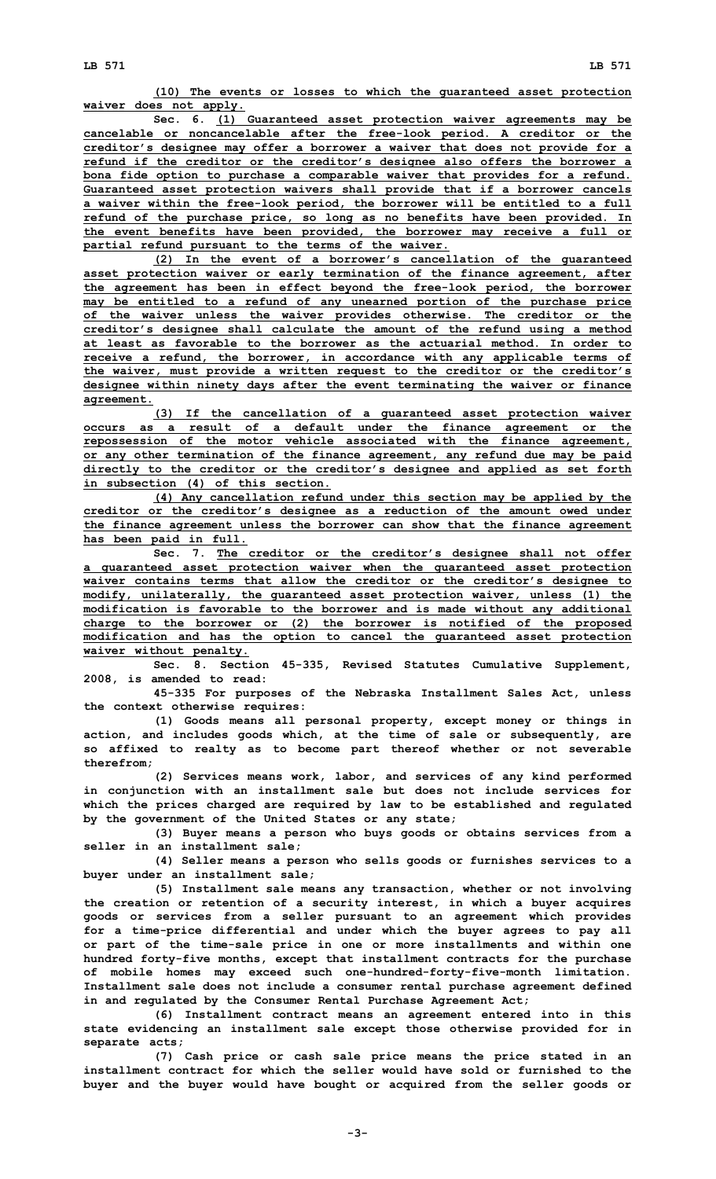**(10) The events or losses to which the guaranteed asset protection waiver does not apply.**

**Sec. 6. (1) Guaranteed asset protection waiver agreements may be cancelable or noncancelable after the free-look period. A creditor or the creditor's designee may offer <sup>a</sup> borrower <sup>a</sup> waiver that does not provide for <sup>a</sup> refund if the creditor or the creditor's designee also offers the borrower <sup>a</sup> bona fide option to purchase <sup>a</sup> comparable waiver that provides for <sup>a</sup> refund. Guaranteed asset protection waivers shall provide that if <sup>a</sup> borrower cancels <sup>a</sup> waiver within the free-look period, the borrower will be entitled to <sup>a</sup> full refund of the purchase price, so long as no benefits have been provided. In the event benefits have been provided, the borrower may receive <sup>a</sup> full or partial refund pursuant to the terms of the waiver.**

**(2) In the event of <sup>a</sup> borrower's cancellation of the guaranteed asset protection waiver or early termination of the finance agreement, after the agreement has been in effect beyond the free-look period, the borrower may be entitled to <sup>a</sup> refund of any unearned portion of the purchase price of the waiver unless the waiver provides otherwise. The creditor or the creditor's designee shall calculate the amount of the refund using <sup>a</sup> method at least as favorable to the borrower as the actuarial method. In order to receive <sup>a</sup> refund, the borrower, in accordance with any applicable terms of the waiver, must provide <sup>a</sup> written request to the creditor or the creditor's designee within ninety days after the event terminating the waiver or finance agreement.**

**(3) If the cancellation of <sup>a</sup> guaranteed asset protection waiver occurs as <sup>a</sup> result of <sup>a</sup> default under the finance agreement or the repossession of the motor vehicle associated with the finance agreement, or any other termination of the finance agreement, any refund due may be paid directly to the creditor or the creditor's designee and applied as set forth in subsection (4) of this section.**

**(4) Any cancellation refund under this section may be applied by the creditor or the creditor's designee as <sup>a</sup> reduction of the amount owed under the finance agreement unless the borrower can show that the finance agreement has been paid in full.**

**Sec. 7. The creditor or the creditor's designee shall not offer <sup>a</sup> guaranteed asset protection waiver when the guaranteed asset protection waiver contains terms that allow the creditor or the creditor's designee to modify, unilaterally, the guaranteed asset protection waiver, unless (1) the modification is favorable to the borrower and is made without any additional charge to the borrower or (2) the borrower is notified of the proposed modification and has the option to cancel the guaranteed asset protection waiver without penalty.**

**Sec. 8. Section 45-335, Revised Statutes Cumulative Supplement, 2008, is amended to read:**

**45-335 For purposes of the Nebraska Installment Sales Act, unless the context otherwise requires:**

**(1) Goods means all personal property, except money or things in action, and includes goods which, at the time of sale or subsequently, are so affixed to realty as to become part thereof whether or not severable therefrom;**

**(2) Services means work, labor, and services of any kind performed in conjunction with an installment sale but does not include services for which the prices charged are required by law to be established and regulated by the government of the United States or any state;**

**(3) Buyer means <sup>a</sup> person who buys goods or obtains services from <sup>a</sup> seller in an installment sale;**

**(4) Seller means <sup>a</sup> person who sells goods or furnishes services to <sup>a</sup> buyer under an installment sale;**

**(5) Installment sale means any transaction, whether or not involving the creation or retention of <sup>a</sup> security interest, in which <sup>a</sup> buyer acquires goods or services from <sup>a</sup> seller pursuant to an agreement which provides for <sup>a</sup> time-price differential and under which the buyer agrees to pay all or part of the time-sale price in one or more installments and within one hundred forty-five months, except that installment contracts for the purchase of mobile homes may exceed such one-hundred-forty-five-month limitation. Installment sale does not include <sup>a</sup> consumer rental purchase agreement defined in and regulated by the Consumer Rental Purchase Agreement Act;**

**(6) Installment contract means an agreement entered into in this state evidencing an installment sale except those otherwise provided for in separate acts;**

**(7) Cash price or cash sale price means the price stated in an installment contract for which the seller would have sold or furnished to the buyer and the buyer would have bought or acquired from the seller goods or**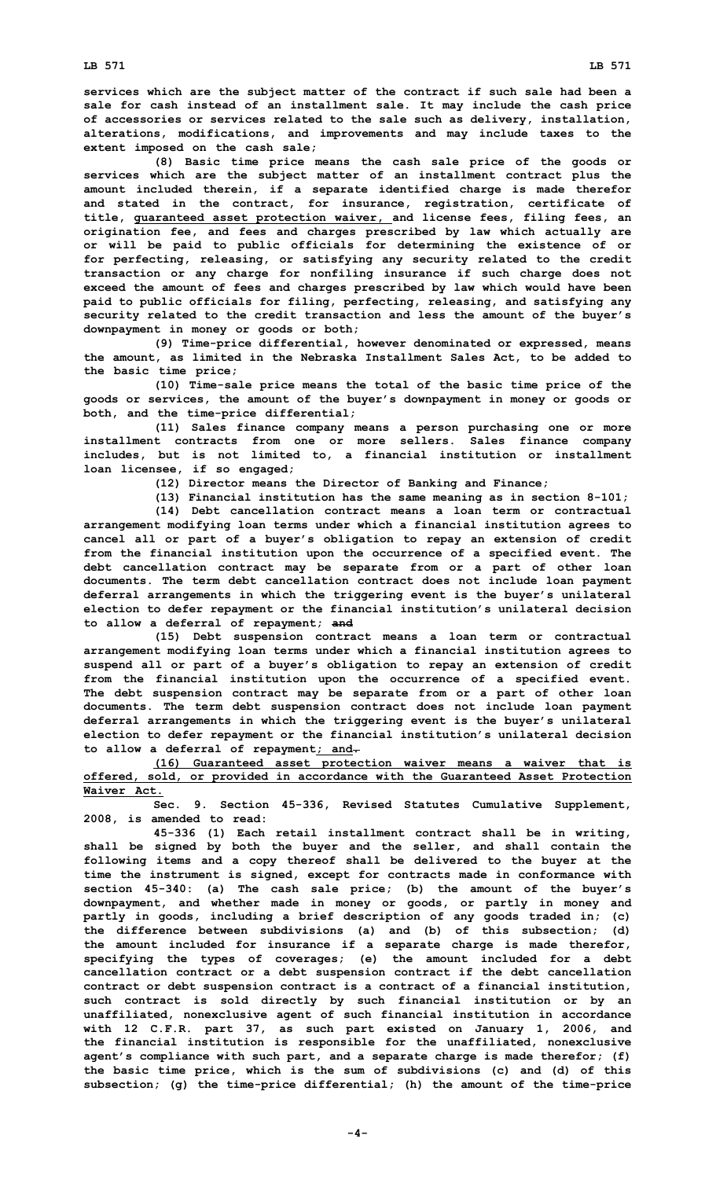**services which are the subject matter of the contract if such sale had been <sup>a</sup> sale for cash instead of an installment sale. It may include the cash price of accessories or services related to the sale such as delivery, installation, alterations, modifications, and improvements and may include taxes to the extent imposed on the cash sale;**

**(8) Basic time price means the cash sale price of the goods or services which are the subject matter of an installment contract plus the amount included therein, if <sup>a</sup> separate identified charge is made therefor and stated in the contract, for insurance, registration, certificate of title, guaranteed asset protection waiver, and license fees, filing fees, an origination fee, and fees and charges prescribed by law which actually are or will be paid to public officials for determining the existence of or for perfecting, releasing, or satisfying any security related to the credit transaction or any charge for nonfiling insurance if such charge does not exceed the amount of fees and charges prescribed by law which would have been paid to public officials for filing, perfecting, releasing, and satisfying any security related to the credit transaction and less the amount of the buyer's downpayment in money or goods or both;**

**(9) Time-price differential, however denominated or expressed, means the amount, as limited in the Nebraska Installment Sales Act, to be added to the basic time price;**

**(10) Time-sale price means the total of the basic time price of the goods or services, the amount of the buyer's downpayment in money or goods or both, and the time-price differential;**

**(11) Sales finance company means <sup>a</sup> person purchasing one or more installment contracts from one or more sellers. Sales finance company includes, but is not limited to, <sup>a</sup> financial institution or installment loan licensee, if so engaged;**

**(12) Director means the Director of Banking and Finance;**

**(13) Financial institution has the same meaning as in section 8-101;**

**(14) Debt cancellation contract means <sup>a</sup> loan term or contractual arrangement modifying loan terms under which <sup>a</sup> financial institution agrees to cancel all or part of <sup>a</sup> buyer's obligation to repay an extension of credit from the financial institution upon the occurrence of <sup>a</sup> specified event. The debt cancellation contract may be separate from or <sup>a</sup> part of other loan documents. The term debt cancellation contract does not include loan payment deferral arrangements in which the triggering event is the buyer's unilateral election to defer repayment or the financial institution's unilateral decision to allow <sup>a</sup> deferral of repayment; and**

**(15) Debt suspension contract means <sup>a</sup> loan term or contractual arrangement modifying loan terms under which <sup>a</sup> financial institution agrees to suspend all or part of <sup>a</sup> buyer's obligation to repay an extension of credit from the financial institution upon the occurrence of <sup>a</sup> specified event. The debt suspension contract may be separate from or <sup>a</sup> part of other loan documents. The term debt suspension contract does not include loan payment deferral arrangements in which the triggering event is the buyer's unilateral election to defer repayment or the financial institution's unilateral decision to allow <sup>a</sup> deferral of repayment; and.**

**(16) Guaranteed asset protection waiver means <sup>a</sup> waiver that is offered, sold, or provided in accordance with the Guaranteed Asset Protection Waiver Act.**

**Sec. 9. Section 45-336, Revised Statutes Cumulative Supplement, 2008, is amended to read:**

**45-336 (1) Each retail installment contract shall be in writing, shall be signed by both the buyer and the seller, and shall contain the following items and <sup>a</sup> copy thereof shall be delivered to the buyer at the time the instrument is signed, except for contracts made in conformance with section 45-340: (a) The cash sale price; (b) the amount of the buyer's downpayment, and whether made in money or goods, or partly in money and partly in goods, including <sup>a</sup> brief description of any goods traded in; (c) the difference between subdivisions (a) and (b) of this subsection; (d) the amount included for insurance if <sup>a</sup> separate charge is made therefor, specifying the types of coverages; (e) the amount included for <sup>a</sup> debt cancellation contract or <sup>a</sup> debt suspension contract if the debt cancellation contract or debt suspension contract is <sup>a</sup> contract of <sup>a</sup> financial institution, such contract is sold directly by such financial institution or by an unaffiliated, nonexclusive agent of such financial institution in accordance with 12 C.F.R. part 37, as such part existed on January 1, 2006, and the financial institution is responsible for the unaffiliated, nonexclusive agent's compliance with such part, and <sup>a</sup> separate charge is made therefor; (f) the basic time price, which is the sum of subdivisions (c) and (d) of this subsection; (g) the time-price differential; (h) the amount of the time-price**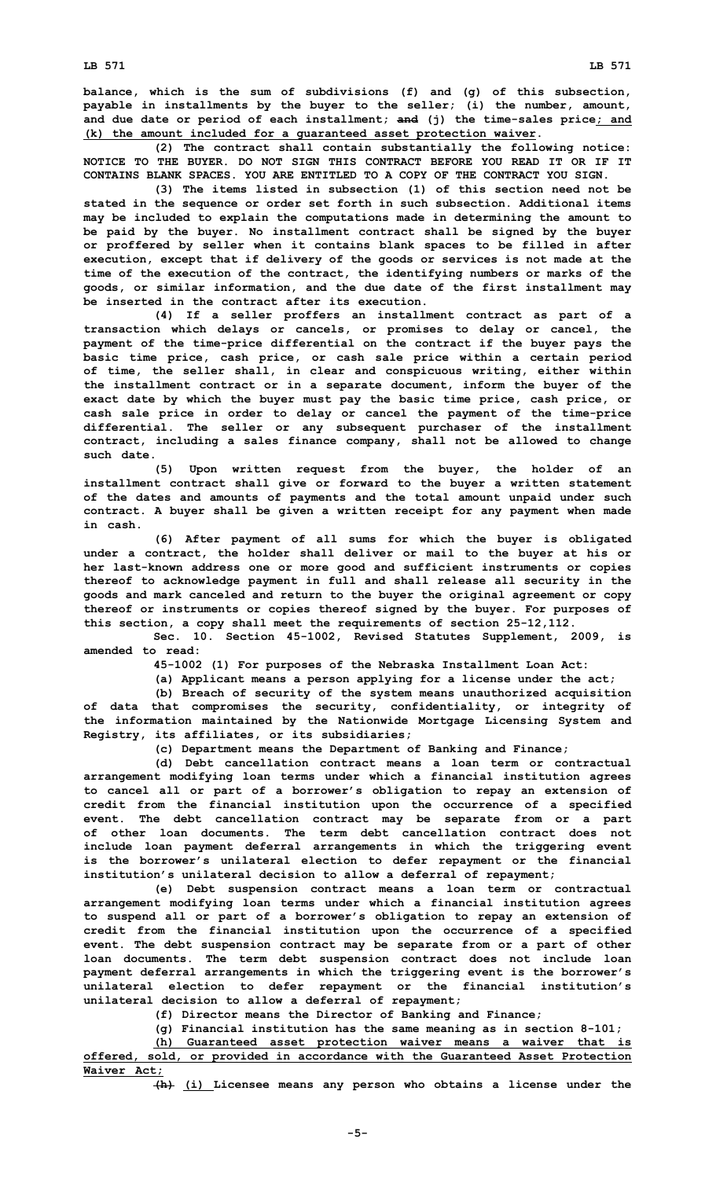**balance, which is the sum of subdivisions (f) and (g) of this subsection, payable in installments by the buyer to the seller; (i) the number, amount, and due date or period of each installment; and (j) the time-sales price; and (k) the amount included for <sup>a</sup> guaranteed asset protection waiver.**

**(2) The contract shall contain substantially the following notice: NOTICE TO THE BUYER. DO NOT SIGN THIS CONTRACT BEFORE YOU READ IT OR IF IT CONTAINS BLANK SPACES. YOU ARE ENTITLED TO A COPY OF THE CONTRACT YOU SIGN.**

**(3) The items listed in subsection (1) of this section need not be stated in the sequence or order set forth in such subsection. Additional items may be included to explain the computations made in determining the amount to be paid by the buyer. No installment contract shall be signed by the buyer or proffered by seller when it contains blank spaces to be filled in after execution, except that if delivery of the goods or services is not made at the time of the execution of the contract, the identifying numbers or marks of the goods, or similar information, and the due date of the first installment may be inserted in the contract after its execution.**

**(4) If <sup>a</sup> seller proffers an installment contract as part of <sup>a</sup> transaction which delays or cancels, or promises to delay or cancel, the payment of the time-price differential on the contract if the buyer pays the basic time price, cash price, or cash sale price within <sup>a</sup> certain period of time, the seller shall, in clear and conspicuous writing, either within the installment contract or in <sup>a</sup> separate document, inform the buyer of the exact date by which the buyer must pay the basic time price, cash price, or cash sale price in order to delay or cancel the payment of the time-price differential. The seller or any subsequent purchaser of the installment contract, including <sup>a</sup> sales finance company, shall not be allowed to change such date.**

**(5) Upon written request from the buyer, the holder of an installment contract shall give or forward to the buyer <sup>a</sup> written statement of the dates and amounts of payments and the total amount unpaid under such contract. A buyer shall be given <sup>a</sup> written receipt for any payment when made in cash.**

**(6) After payment of all sums for which the buyer is obligated under <sup>a</sup> contract, the holder shall deliver or mail to the buyer at his or her last-known address one or more good and sufficient instruments or copies thereof to acknowledge payment in full and shall release all security in the goods and mark canceled and return to the buyer the original agreement or copy thereof or instruments or copies thereof signed by the buyer. For purposes of this section, <sup>a</sup> copy shall meet the requirements of section 25-12,112.**

**Sec. 10. Section 45-1002, Revised Statutes Supplement, 2009, is amended to read:**

**45-1002 (1) For purposes of the Nebraska Installment Loan Act:**

**(a) Applicant means <sup>a</sup> person applying for <sup>a</sup> license under the act;**

**(b) Breach of security of the system means unauthorized acquisition of data that compromises the security, confidentiality, or integrity of the information maintained by the Nationwide Mortgage Licensing System and Registry, its affiliates, or its subsidiaries;**

**(c) Department means the Department of Banking and Finance;**

**(d) Debt cancellation contract means <sup>a</sup> loan term or contractual arrangement modifying loan terms under which <sup>a</sup> financial institution agrees to cancel all or part of <sup>a</sup> borrower's obligation to repay an extension of credit from the financial institution upon the occurrence of <sup>a</sup> specified event. The debt cancellation contract may be separate from or <sup>a</sup> part of other loan documents. The term debt cancellation contract does not include loan payment deferral arrangements in which the triggering event is the borrower's unilateral election to defer repayment or the financial institution's unilateral decision to allow <sup>a</sup> deferral of repayment;**

**(e) Debt suspension contract means <sup>a</sup> loan term or contractual arrangement modifying loan terms under which <sup>a</sup> financial institution agrees to suspend all or part of <sup>a</sup> borrower's obligation to repay an extension of credit from the financial institution upon the occurrence of <sup>a</sup> specified event. The debt suspension contract may be separate from or <sup>a</sup> part of other loan documents. The term debt suspension contract does not include loan payment deferral arrangements in which the triggering event is the borrower's unilateral election to defer repayment or the financial institution's unilateral decision to allow <sup>a</sup> deferral of repayment;**

**(f) Director means the Director of Banking and Finance;**

**(g) Financial institution has the same meaning as in section 8-101;**

**(h) Guaranteed asset protection waiver means <sup>a</sup> waiver that is offered, sold, or provided in accordance with the Guaranteed Asset Protection Waiver Act;**

**(h) (i) Licensee means any person who obtains <sup>a</sup> license under the**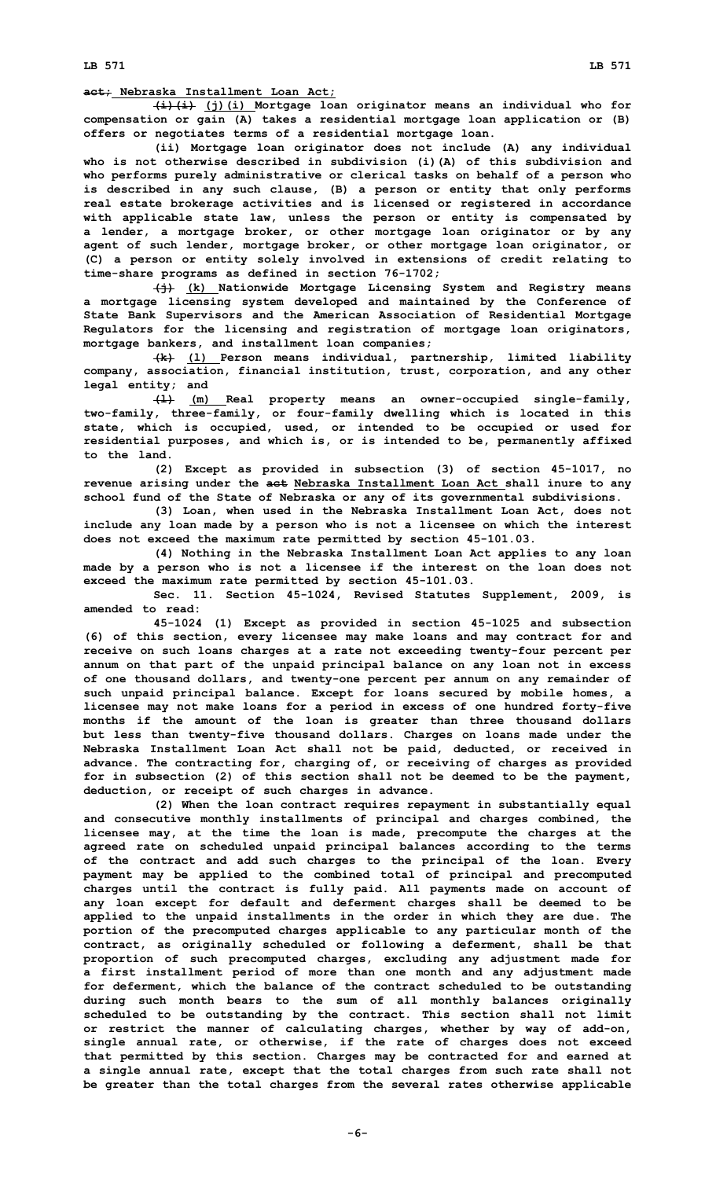**act; Nebraska Installment Loan Act;**

**(i)(i) (j)(i) Mortgage loan originator means an individual who for compensation or gain (A) takes <sup>a</sup> residential mortgage loan application or (B) offers or negotiates terms of <sup>a</sup> residential mortgage loan.**

**(ii) Mortgage loan originator does not include (A) any individual who is not otherwise described in subdivision (i)(A) of this subdivision and who performs purely administrative or clerical tasks on behalf of <sup>a</sup> person who is described in any such clause, (B) <sup>a</sup> person or entity that only performs real estate brokerage activities and is licensed or registered in accordance with applicable state law, unless the person or entity is compensated by <sup>a</sup> lender, <sup>a</sup> mortgage broker, or other mortgage loan originator or by any agent of such lender, mortgage broker, or other mortgage loan originator, or (C) <sup>a</sup> person or entity solely involved in extensions of credit relating to time-share programs as defined in section 76-1702;**

**(j) (k) Nationwide Mortgage Licensing System and Registry means <sup>a</sup> mortgage licensing system developed and maintained by the Conference of State Bank Supervisors and the American Association of Residential Mortgage Regulators for the licensing and registration of mortgage loan originators, mortgage bankers, and installment loan companies;**

**(k) (l) Person means individual, partnership, limited liability company, association, financial institution, trust, corporation, and any other legal entity; and**

**(l) (m) Real property means an owner-occupied single-family, two-family, three-family, or four-family dwelling which is located in this state, which is occupied, used, or intended to be occupied or used for residential purposes, and which is, or is intended to be, permanently affixed to the land.**

**(2) Except as provided in subsection (3) of section 45-1017, no revenue arising under the act Nebraska Installment Loan Act shall inure to any school fund of the State of Nebraska or any of its governmental subdivisions.**

**(3) Loan, when used in the Nebraska Installment Loan Act, does not include any loan made by <sup>a</sup> person who is not <sup>a</sup> licensee on which the interest does not exceed the maximum rate permitted by section 45-101.03.**

**(4) Nothing in the Nebraska Installment Loan Act applies to any loan made by <sup>a</sup> person who is not <sup>a</sup> licensee if the interest on the loan does not exceed the maximum rate permitted by section 45-101.03.**

**Sec. 11. Section 45-1024, Revised Statutes Supplement, 2009, is amended to read:**

**45-1024 (1) Except as provided in section 45-1025 and subsection (6) of this section, every licensee may make loans and may contract for and receive on such loans charges at <sup>a</sup> rate not exceeding twenty-four percent per annum on that part of the unpaid principal balance on any loan not in excess of one thousand dollars, and twenty-one percent per annum on any remainder of such unpaid principal balance. Except for loans secured by mobile homes, <sup>a</sup> licensee may not make loans for <sup>a</sup> period in excess of one hundred forty-five months if the amount of the loan is greater than three thousand dollars but less than twenty-five thousand dollars. Charges on loans made under the Nebraska Installment Loan Act shall not be paid, deducted, or received in advance. The contracting for, charging of, or receiving of charges as provided for in subsection (2) of this section shall not be deemed to be the payment, deduction, or receipt of such charges in advance.**

**(2) When the loan contract requires repayment in substantially equal and consecutive monthly installments of principal and charges combined, the licensee may, at the time the loan is made, precompute the charges at the agreed rate on scheduled unpaid principal balances according to the terms of the contract and add such charges to the principal of the loan. Every payment may be applied to the combined total of principal and precomputed charges until the contract is fully paid. All payments made on account of any loan except for default and deferment charges shall be deemed to be applied to the unpaid installments in the order in which they are due. The portion of the precomputed charges applicable to any particular month of the contract, as originally scheduled or following <sup>a</sup> deferment, shall be that proportion of such precomputed charges, excluding any adjustment made for <sup>a</sup> first installment period of more than one month and any adjustment made for deferment, which the balance of the contract scheduled to be outstanding during such month bears to the sum of all monthly balances originally scheduled to be outstanding by the contract. This section shall not limit or restrict the manner of calculating charges, whether by way of add-on, single annual rate, or otherwise, if the rate of charges does not exceed that permitted by this section. Charges may be contracted for and earned at <sup>a</sup> single annual rate, except that the total charges from such rate shall not be greater than the total charges from the several rates otherwise applicable**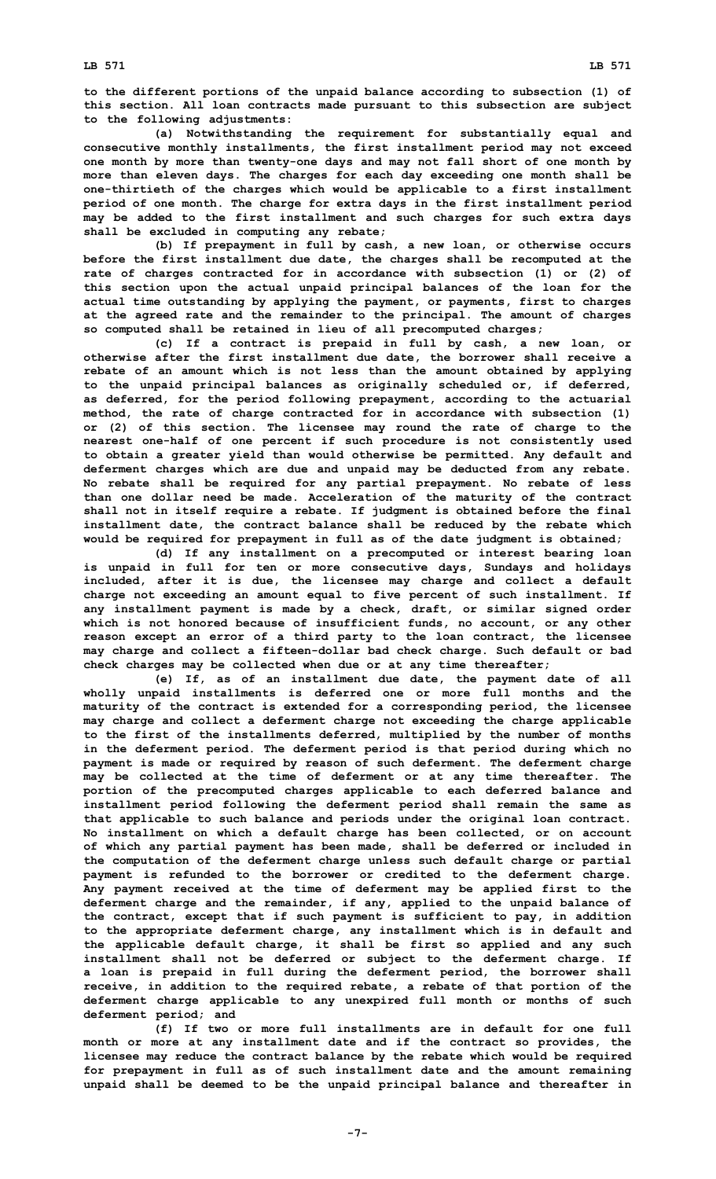**to the different portions of the unpaid balance according to subsection (1) of this section. All loan contracts made pursuant to this subsection are subject to the following adjustments:**

**(a) Notwithstanding the requirement for substantially equal and consecutive monthly installments, the first installment period may not exceed one month by more than twenty-one days and may not fall short of one month by more than eleven days. The charges for each day exceeding one month shall be one-thirtieth of the charges which would be applicable to <sup>a</sup> first installment period of one month. The charge for extra days in the first installment period may be added to the first installment and such charges for such extra days shall be excluded in computing any rebate;**

**(b) If prepayment in full by cash, <sup>a</sup> new loan, or otherwise occurs before the first installment due date, the charges shall be recomputed at the rate of charges contracted for in accordance with subsection (1) or (2) of this section upon the actual unpaid principal balances of the loan for the actual time outstanding by applying the payment, or payments, first to charges at the agreed rate and the remainder to the principal. The amount of charges so computed shall be retained in lieu of all precomputed charges;**

**(c) If <sup>a</sup> contract is prepaid in full by cash, <sup>a</sup> new loan, or otherwise after the first installment due date, the borrower shall receive <sup>a</sup> rebate of an amount which is not less than the amount obtained by applying to the unpaid principal balances as originally scheduled or, if deferred, as deferred, for the period following prepayment, according to the actuarial method, the rate of charge contracted for in accordance with subsection (1) or (2) of this section. The licensee may round the rate of charge to the nearest one-half of one percent if such procedure is not consistently used to obtain <sup>a</sup> greater yield than would otherwise be permitted. Any default and deferment charges which are due and unpaid may be deducted from any rebate. No rebate shall be required for any partial prepayment. No rebate of less than one dollar need be made. Acceleration of the maturity of the contract shall not in itself require <sup>a</sup> rebate. If judgment is obtained before the final installment date, the contract balance shall be reduced by the rebate which would be required for prepayment in full as of the date judgment is obtained;**

**(d) If any installment on <sup>a</sup> precomputed or interest bearing loan is unpaid in full for ten or more consecutive days, Sundays and holidays included, after it is due, the licensee may charge and collect <sup>a</sup> default charge not exceeding an amount equal to five percent of such installment. If any installment payment is made by <sup>a</sup> check, draft, or similar signed order which is not honored because of insufficient funds, no account, or any other reason except an error of <sup>a</sup> third party to the loan contract, the licensee may charge and collect <sup>a</sup> fifteen-dollar bad check charge. Such default or bad check charges may be collected when due or at any time thereafter;**

**(e) If, as of an installment due date, the payment date of all wholly unpaid installments is deferred one or more full months and the maturity of the contract is extended for <sup>a</sup> corresponding period, the licensee may charge and collect <sup>a</sup> deferment charge not exceeding the charge applicable to the first of the installments deferred, multiplied by the number of months in the deferment period. The deferment period is that period during which no payment is made or required by reason of such deferment. The deferment charge may be collected at the time of deferment or at any time thereafter. The portion of the precomputed charges applicable to each deferred balance and installment period following the deferment period shall remain the same as that applicable to such balance and periods under the original loan contract. No installment on which <sup>a</sup> default charge has been collected, or on account of which any partial payment has been made, shall be deferred or included in the computation of the deferment charge unless such default charge or partial payment is refunded to the borrower or credited to the deferment charge. Any payment received at the time of deferment may be applied first to the deferment charge and the remainder, if any, applied to the unpaid balance of the contract, except that if such payment is sufficient to pay, in addition to the appropriate deferment charge, any installment which is in default and the applicable default charge, it shall be first so applied and any such installment shall not be deferred or subject to the deferment charge. If <sup>a</sup> loan is prepaid in full during the deferment period, the borrower shall receive, in addition to the required rebate, <sup>a</sup> rebate of that portion of the deferment charge applicable to any unexpired full month or months of such deferment period; and**

**(f) If two or more full installments are in default for one full month or more at any installment date and if the contract so provides, the licensee may reduce the contract balance by the rebate which would be required for prepayment in full as of such installment date and the amount remaining unpaid shall be deemed to be the unpaid principal balance and thereafter in**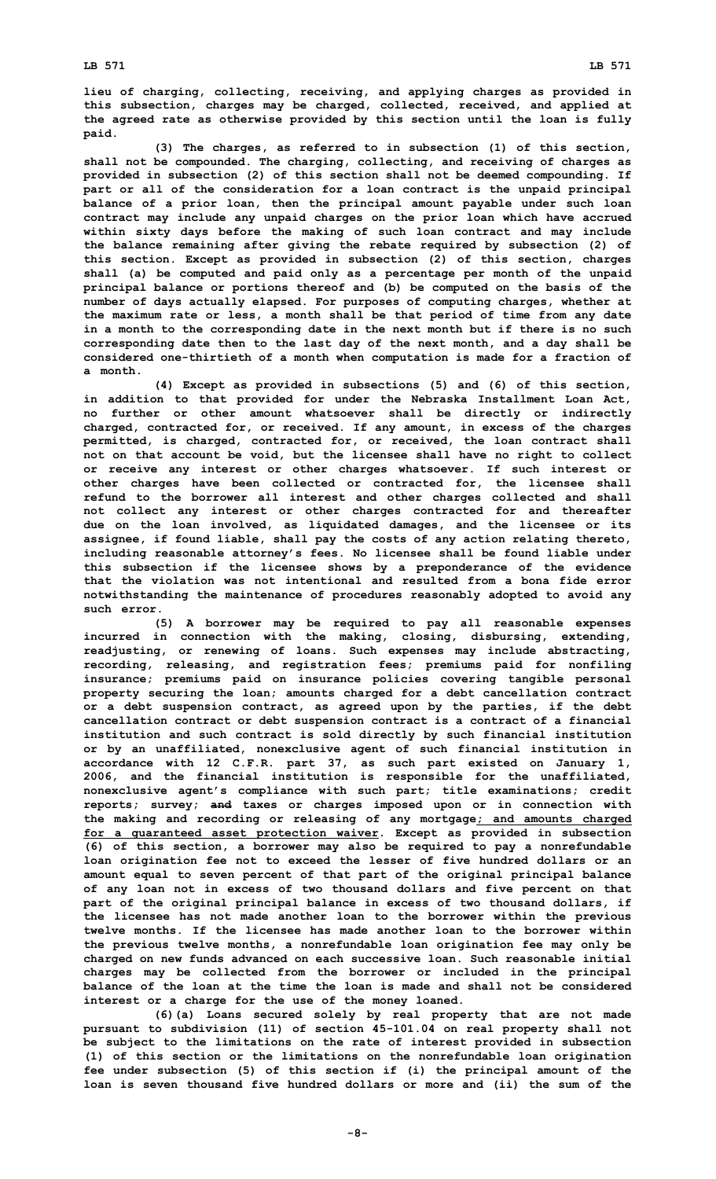**lieu of charging, collecting, receiving, and applying charges as provided in this subsection, charges may be charged, collected, received, and applied at the agreed rate as otherwise provided by this section until the loan is fully paid.**

**(3) The charges, as referred to in subsection (1) of this section, shall not be compounded. The charging, collecting, and receiving of charges as provided in subsection (2) of this section shall not be deemed compounding. If part or all of the consideration for <sup>a</sup> loan contract is the unpaid principal balance of <sup>a</sup> prior loan, then the principal amount payable under such loan contract may include any unpaid charges on the prior loan which have accrued within sixty days before the making of such loan contract and may include the balance remaining after giving the rebate required by subsection (2) of this section. Except as provided in subsection (2) of this section, charges shall (a) be computed and paid only as <sup>a</sup> percentage per month of the unpaid principal balance or portions thereof and (b) be computed on the basis of the number of days actually elapsed. For purposes of computing charges, whether at the maximum rate or less, <sup>a</sup> month shall be that period of time from any date in <sup>a</sup> month to the corresponding date in the next month but if there is no such corresponding date then to the last day of the next month, and <sup>a</sup> day shall be considered one-thirtieth of <sup>a</sup> month when computation is made for <sup>a</sup> fraction of a month.**

**(4) Except as provided in subsections (5) and (6) of this section, in addition to that provided for under the Nebraska Installment Loan Act, no further or other amount whatsoever shall be directly or indirectly charged, contracted for, or received. If any amount, in excess of the charges permitted, is charged, contracted for, or received, the loan contract shall not on that account be void, but the licensee shall have no right to collect or receive any interest or other charges whatsoever. If such interest or other charges have been collected or contracted for, the licensee shall refund to the borrower all interest and other charges collected and shall not collect any interest or other charges contracted for and thereafter due on the loan involved, as liquidated damages, and the licensee or its assignee, if found liable, shall pay the costs of any action relating thereto, including reasonable attorney's fees. No licensee shall be found liable under this subsection if the licensee shows by <sup>a</sup> preponderance of the evidence that the violation was not intentional and resulted from a bona fide error notwithstanding the maintenance of procedures reasonably adopted to avoid any such error.**

**(5) <sup>A</sup> borrower may be required to pay all reasonable expenses incurred in connection with the making, closing, disbursing, extending, readjusting, or renewing of loans. Such expenses may include abstracting, recording, releasing, and registration fees; premiums paid for nonfiling insurance; premiums paid on insurance policies covering tangible personal property securing the loan; amounts charged for <sup>a</sup> debt cancellation contract or <sup>a</sup> debt suspension contract, as agreed upon by the parties, if the debt cancellation contract or debt suspension contract is <sup>a</sup> contract of <sup>a</sup> financial institution and such contract is sold directly by such financial institution or by an unaffiliated, nonexclusive agent of such financial institution in accordance with 12 C.F.R. part 37, as such part existed on January 1, 2006, and the financial institution is responsible for the unaffiliated, nonexclusive agent's compliance with such part; title examinations; credit reports; survey; and taxes or charges imposed upon or in connection with the making and recording or releasing of any mortgage; and amounts charged for <sup>a</sup> guaranteed asset protection waiver. Except as provided in subsection (6) of this section, <sup>a</sup> borrower may also be required to pay <sup>a</sup> nonrefundable loan origination fee not to exceed the lesser of five hundred dollars or an amount equal to seven percent of that part of the original principal balance of any loan not in excess of two thousand dollars and five percent on that part of the original principal balance in excess of two thousand dollars, if the licensee has not made another loan to the borrower within the previous twelve months. If the licensee has made another loan to the borrower within the previous twelve months, <sup>a</sup> nonrefundable loan origination fee may only be charged on new funds advanced on each successive loan. Such reasonable initial charges may be collected from the borrower or included in the principal balance of the loan at the time the loan is made and shall not be considered interest or <sup>a</sup> charge for the use of the money loaned.**

**(6)(a) Loans secured solely by real property that are not made pursuant to subdivision (11) of section 45-101.04 on real property shall not be subject to the limitations on the rate of interest provided in subsection (1) of this section or the limitations on the nonrefundable loan origination fee under subsection (5) of this section if (i) the principal amount of the loan is seven thousand five hundred dollars or more and (ii) the sum of the**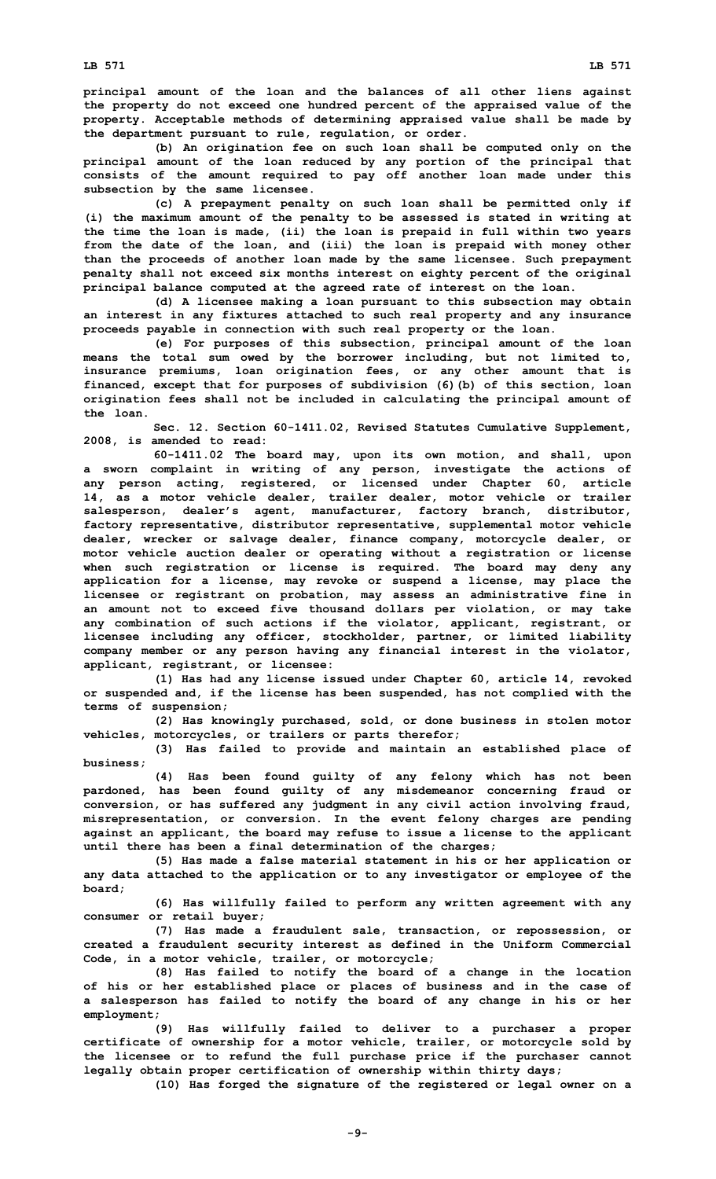**principal amount of the loan and the balances of all other liens against the property do not exceed one hundred percent of the appraised value of the property. Acceptable methods of determining appraised value shall be made by the department pursuant to rule, regulation, or order.**

**(b) An origination fee on such loan shall be computed only on the principal amount of the loan reduced by any portion of the principal that consists of the amount required to pay off another loan made under this subsection by the same licensee.**

**(c) <sup>A</sup> prepayment penalty on such loan shall be permitted only if (i) the maximum amount of the penalty to be assessed is stated in writing at the time the loan is made, (ii) the loan is prepaid in full within two years from the date of the loan, and (iii) the loan is prepaid with money other than the proceeds of another loan made by the same licensee. Such prepayment penalty shall not exceed six months interest on eighty percent of the original principal balance computed at the agreed rate of interest on the loan.**

**(d) <sup>A</sup> licensee making <sup>a</sup> loan pursuant to this subsection may obtain an interest in any fixtures attached to such real property and any insurance proceeds payable in connection with such real property or the loan.**

**(e) For purposes of this subsection, principal amount of the loan means the total sum owed by the borrower including, but not limited to, insurance premiums, loan origination fees, or any other amount that is financed, except that for purposes of subdivision (6)(b) of this section, loan origination fees shall not be included in calculating the principal amount of the loan.**

**Sec. 12. Section 60-1411.02, Revised Statutes Cumulative Supplement, 2008, is amended to read:**

**60-1411.02 The board may, upon its own motion, and shall, upon <sup>a</sup> sworn complaint in writing of any person, investigate the actions of any person acting, registered, or licensed under Chapter 60, article 14, as <sup>a</sup> motor vehicle dealer, trailer dealer, motor vehicle or trailer salesperson, dealer's agent, manufacturer, factory branch, distributor, factory representative, distributor representative, supplemental motor vehicle dealer, wrecker or salvage dealer, finance company, motorcycle dealer, or motor vehicle auction dealer or operating without <sup>a</sup> registration or license when such registration or license is required. The board may deny any application for <sup>a</sup> license, may revoke or suspend <sup>a</sup> license, may place the licensee or registrant on probation, may assess an administrative fine in an amount not to exceed five thousand dollars per violation, or may take any combination of such actions if the violator, applicant, registrant, or licensee including any officer, stockholder, partner, or limited liability company member or any person having any financial interest in the violator, applicant, registrant, or licensee:**

**(1) Has had any license issued under Chapter 60, article 14, revoked or suspended and, if the license has been suspended, has not complied with the terms of suspension;**

**(2) Has knowingly purchased, sold, or done business in stolen motor vehicles, motorcycles, or trailers or parts therefor;**

**(3) Has failed to provide and maintain an established place of business;**

**(4) Has been found guilty of any felony which has not been pardoned, has been found guilty of any misdemeanor concerning fraud or conversion, or has suffered any judgment in any civil action involving fraud, misrepresentation, or conversion. In the event felony charges are pending against an applicant, the board may refuse to issue <sup>a</sup> license to the applicant until there has been <sup>a</sup> final determination of the charges;**

**(5) Has made <sup>a</sup> false material statement in his or her application or any data attached to the application or to any investigator or employee of the board;**

**(6) Has willfully failed to perform any written agreement with any consumer or retail buyer;**

**(7) Has made <sup>a</sup> fraudulent sale, transaction, or repossession, or created <sup>a</sup> fraudulent security interest as defined in the Uniform Commercial Code, in <sup>a</sup> motor vehicle, trailer, or motorcycle;**

**(8) Has failed to notify the board of <sup>a</sup> change in the location of his or her established place or places of business and in the case of <sup>a</sup> salesperson has failed to notify the board of any change in his or her employment;**

**(9) Has willfully failed to deliver to <sup>a</sup> purchaser <sup>a</sup> proper certificate of ownership for <sup>a</sup> motor vehicle, trailer, or motorcycle sold by the licensee or to refund the full purchase price if the purchaser cannot legally obtain proper certification of ownership within thirty days;**

**(10) Has forged the signature of the registered or legal owner on <sup>a</sup>**